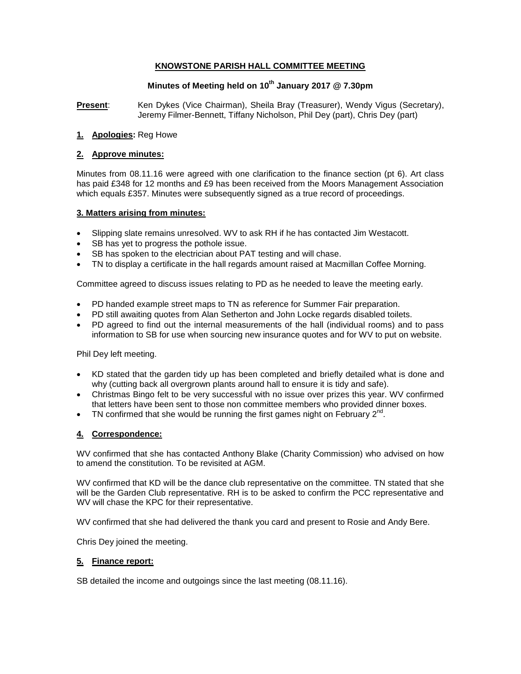## **KNOWSTONE PARISH HALL COMMITTEE MEETING**

# **Minutes of Meeting held on 10th January 2017 @ 7.30pm**

**Present**: Ken Dykes (Vice Chairman), Sheila Bray (Treasurer), Wendy Vigus (Secretary), Jeremy Filmer-Bennett, Tiffany Nicholson, Phil Dey (part), Chris Dey (part)

#### **1. Apologies:** Reg Howe

#### **2. Approve minutes:**

Minutes from 08.11.16 were agreed with one clarification to the finance section (pt 6). Art class has paid £348 for 12 months and £9 has been received from the Moors Management Association which equals £357. Minutes were subsequently signed as a true record of proceedings.

#### **3. Matters arising from minutes:**

- Slipping slate remains unresolved. WV to ask RH if he has contacted Jim Westacott.
- SB has yet to progress the pothole issue.
- SB has spoken to the electrician about PAT testing and will chase.
- TN to display a certificate in the hall regards amount raised at Macmillan Coffee Morning.

Committee agreed to discuss issues relating to PD as he needed to leave the meeting early.

- PD handed example street maps to TN as reference for Summer Fair preparation.
- PD still awaiting quotes from Alan Setherton and John Locke regards disabled toilets.
- PD agreed to find out the internal measurements of the hall (individual rooms) and to pass information to SB for use when sourcing new insurance quotes and for WV to put on website.

Phil Dey left meeting.

- KD stated that the garden tidy up has been completed and briefly detailed what is done and why (cutting back all overgrown plants around hall to ensure it is tidy and safe).
- Christmas Bingo felt to be very successful with no issue over prizes this year. WV confirmed that letters have been sent to those non committee members who provided dinner boxes.
- TN confirmed that she would be running the first games night on February  $2^{nd}$ .

## **4. Correspondence:**

WV confirmed that she has contacted Anthony Blake (Charity Commission) who advised on how to amend the constitution. To be revisited at AGM.

WV confirmed that KD will be the dance club representative on the committee. TN stated that she will be the Garden Club representative. RH is to be asked to confirm the PCC representative and WV will chase the KPC for their representative.

WV confirmed that she had delivered the thank you card and present to Rosie and Andy Bere.

Chris Dey joined the meeting.

### **5. Finance report:**

SB detailed the income and outgoings since the last meeting (08.11.16).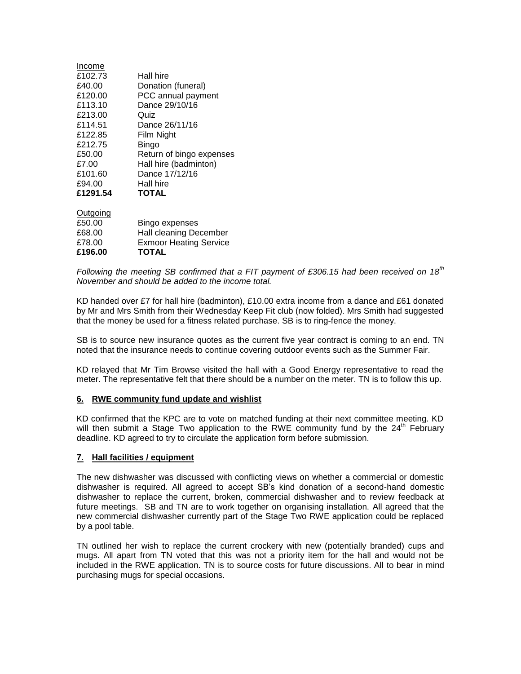| Income   |                          |
|----------|--------------------------|
| £102.73  | Hall hire                |
| £40.00   | Donation (funeral)       |
| £120.00  | PCC annual payment       |
| £113.10  | Dance 29/10/16           |
| £213.00  | Quiz                     |
| £114.51  | Dance 26/11/16           |
| £122.85  | Film Night               |
| £212.75  | Bingo                    |
| £50.00   | Return of bingo expenses |
| £7.00    | Hall hire (badminton)    |
| £101.60  | Dance 17/12/16           |
| £94.00   | Hall hire                |
| £1291.54 | <b>TOTAL</b>             |
|          |                          |

| £196.00  | <b>TOTAL</b>                  |
|----------|-------------------------------|
| £78.00   | <b>Exmoor Heating Service</b> |
| £68.00   | Hall cleaning December        |
| £50.00   | Bingo expenses                |
| Outgoing |                               |

*Following the meeting SB confirmed that a FIT payment of £306.15 had been received on 18th November and should be added to the income total.* 

KD handed over £7 for hall hire (badminton), £10.00 extra income from a dance and £61 donated by Mr and Mrs Smith from their Wednesday Keep Fit club (now folded). Mrs Smith had suggested that the money be used for a fitness related purchase. SB is to ring-fence the money.

SB is to source new insurance quotes as the current five year contract is coming to an end. TN noted that the insurance needs to continue covering outdoor events such as the Summer Fair.

KD relayed that Mr Tim Browse visited the hall with a Good Energy representative to read the meter. The representative felt that there should be a number on the meter. TN is to follow this up.

#### **6. RWE community fund update and wishlist**

KD confirmed that the KPC are to vote on matched funding at their next committee meeting. KD will then submit a Stage Two application to the RWE community fund by the  $24<sup>th</sup>$  February deadline. KD agreed to try to circulate the application form before submission.

#### **7. Hall facilities / equipment**

The new dishwasher was discussed with conflicting views on whether a commercial or domestic dishwasher is required. All agreed to accept SB's kind donation of a second-hand domestic dishwasher to replace the current, broken, commercial dishwasher and to review feedback at future meetings. SB and TN are to work together on organising installation. All agreed that the new commercial dishwasher currently part of the Stage Two RWE application could be replaced by a pool table.

TN outlined her wish to replace the current crockery with new (potentially branded) cups and mugs. All apart from TN voted that this was not a priority item for the hall and would not be included in the RWE application. TN is to source costs for future discussions. All to bear in mind purchasing mugs for special occasions.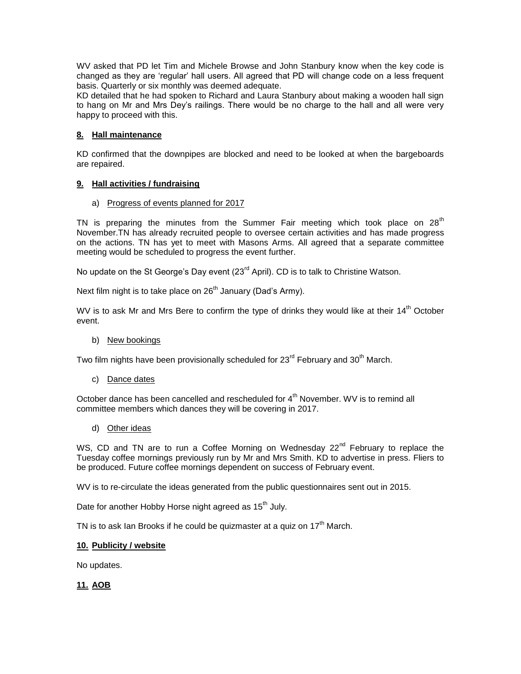WV asked that PD let Tim and Michele Browse and John Stanbury know when the key code is changed as they are 'regular' hall users. All agreed that PD will change code on a less frequent basis. Quarterly or six monthly was deemed adequate.

KD detailed that he had spoken to Richard and Laura Stanbury about making a wooden hall sign to hang on Mr and Mrs Dey's railings. There would be no charge to the hall and all were very happy to proceed with this.

### **8. Hall maintenance**

KD confirmed that the downpipes are blocked and need to be looked at when the bargeboards are repaired.

#### **9. Hall activities / fundraising**

a) Progress of events planned for 2017

TN is preparing the minutes from the Summer Fair meeting which took place on  $28<sup>th</sup>$ November.TN has already recruited people to oversee certain activities and has made progress on the actions. TN has yet to meet with Masons Arms. All agreed that a separate committee meeting would be scheduled to progress the event further.

No update on the St George's Day event  $(23<sup>rd</sup>$  April). CD is to talk to Christine Watson.

Next film night is to take place on  $26<sup>th</sup>$  January (Dad's Army).

WV is to ask Mr and Mrs Bere to confirm the type of drinks they would like at their  $14<sup>th</sup>$  October event.

b) New bookings

Two film nights have been provisionally scheduled for  $23^{\text{rd}}$  February and  $30^{\text{th}}$  March.

c) Dance dates

October dance has been cancelled and rescheduled for  $4<sup>th</sup>$  November. WV is to remind all committee members which dances they will be covering in 2017.

d) Other ideas

WS, CD and TN are to run a Coffee Morning on Wednesday  $22^{nd}$  February to replace the Tuesday coffee mornings previously run by Mr and Mrs Smith. KD to advertise in press. Fliers to be produced. Future coffee mornings dependent on success of February event.

WV is to re-circulate the ideas generated from the public questionnaires sent out in 2015.

Date for another Hobby Horse night agreed as 15<sup>th</sup> July.

TN is to ask Ian Brooks if he could be quizmaster at a quiz on  $17<sup>th</sup>$  March.

### **10. Publicity / website**

No updates.

**11. AOB**